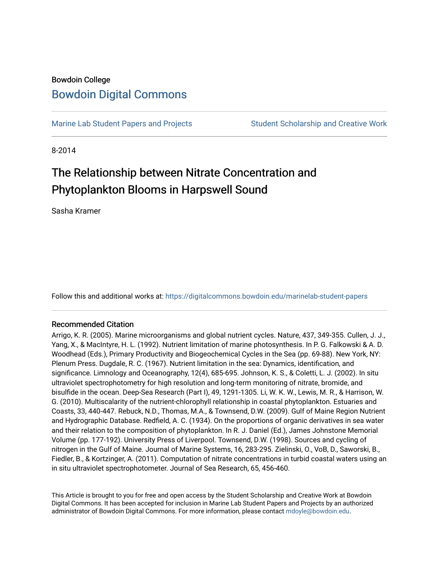## Bowdoin College [Bowdoin Digital Commons](https://digitalcommons.bowdoin.edu/)

[Marine Lab Student Papers and Projects](https://digitalcommons.bowdoin.edu/marinelab-student-papers) Student Scholarship and Creative Work

8-2014

# The Relationship between Nitrate Concentration and Phytoplankton Blooms in Harpswell Sound

Sasha Kramer

Follow this and additional works at: [https://digitalcommons.bowdoin.edu/marinelab-student-papers](https://digitalcommons.bowdoin.edu/marinelab-student-papers?utm_source=digitalcommons.bowdoin.edu%2Fmarinelab-student-papers%2F23&utm_medium=PDF&utm_campaign=PDFCoverPages) 

#### Recommended Citation

Arrigo, K. R. (2005). Marine microorganisms and global nutrient cycles. Nature, 437, 349-355. Cullen, J. J., Yang, X., & MacIntyre, H. L. (1992). Nutrient limitation of marine photosynthesis. In P. G. Falkowski & A. D. Woodhead (Eds.), Primary Productivity and Biogeochemical Cycles in the Sea (pp. 69-88). New York, NY: Plenum Press. Dugdale, R. C. (1967). Nutrient limitation in the sea: Dynamics, identification, and significance. Limnology and Oceanography, 12(4), 685-695. Johnson, K. S., & Coletti, L. J. (2002). In situ ultraviolet spectrophotometry for high resolution and long-term monitoring of nitrate, bromide, and bisulfide in the ocean. Deep-Sea Research (Part I), 49, 1291-1305. Li, W. K. W., Lewis, M. R., & Harrison, W. G. (2010). Multiscalarity of the nutrient-chlorophyll relationship in coastal phytoplankton. Estuaries and Coasts, 33, 440-447. Rebuck, N.D., Thomas, M.A., & Townsend, D.W. (2009). Gulf of Maine Region Nutrient and Hydrographic Database. Redfield, A. C. (1934). On the proportions of organic derivatives in sea water and their relation to the composition of phytoplankton. In R. J. Daniel (Ed.), James Johnstone Memorial Volume (pp. 177-192). University Press of Liverpool. Townsend, D.W. (1998). Sources and cycling of nitrogen in the Gulf of Maine. Journal of Marine Systems, 16, 283-295. Zielinski, O., VoB, D., Saworski, B., Fiedler, B., & Kortzinger, A. (2011). Computation of nitrate concentrations in turbid coastal waters using an in situ ultraviolet spectrophotometer. Journal of Sea Research, 65, 456-460.

This Article is brought to you for free and open access by the Student Scholarship and Creative Work at Bowdoin Digital Commons. It has been accepted for inclusion in Marine Lab Student Papers and Projects by an authorized administrator of Bowdoin Digital Commons. For more information, please contact [mdoyle@bowdoin.edu.](mailto:mdoyle@bowdoin.edu)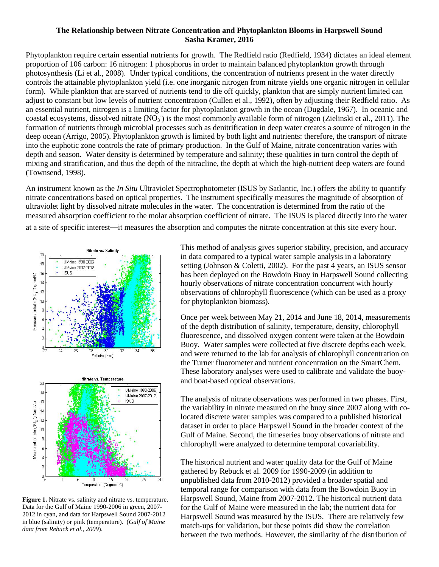#### **The Relationship between Nitrate Concentration and Phytoplankton Blooms in Harpswell Sound Sasha Kramer, 2016**

Phytoplankton require certain essential nutrients for growth. The Redfield ratio (Redfield, 1934) dictates an ideal element proportion of 106 carbon: 16 nitrogen: 1 phosphorus in order to maintain balanced phytoplankton growth through photosynthesis (Li et al., 2008). Under typical conditions, the concentration of nutrients present in the water directly controls the attainable phytoplankton yield (i.e. one inorganic nitrogen from nitrate yields one organic nitrogen in cellular form). While plankton that are starved of nutrients tend to die off quickly, plankton that are simply nutrient limited can adjust to constant but low levels of nutrient concentration (Cullen et al., 1992), often by adjusting their Redfield ratio. As an essential nutrient, nitrogen is a limiting factor for phytoplankton growth in the ocean (Dugdale, 1967). In oceanic and coastal ecosystems, dissolved nitrate  $(NO_3^-)$  is the most commonly available form of nitrogen (Zielinski et al., 2011). The formation of nutrients through microbial processes such as denitrification in deep water creates a source of nitrogen in the deep ocean (Arrigo, 2005). Phytoplankton growth is limited by both light and nutrients: therefore, the transport of nitrate into the euphotic zone controls the rate of primary production. In the Gulf of Maine, nitrate concentration varies with depth and season. Water density is determined by temperature and salinity; these qualities in turn control the depth of mixing and stratification, and thus the depth of the nitracline, the depth at which the high-nutrient deep waters are found (Townsend, 1998).

An instrument known as the *In Situ* Ultraviolet Spectrophotometer (ISUS by Satlantic, Inc.) offers the ability to quantify nitrate concentrations based on optical properties. The instrument specifically measures the magnitude of absorption of ultraviolet light by dissolved nitrate molecules in the water. The concentration is determined from the ratio of the measured absorption coefficient to the molar absorption coefficient of nitrate. The ISUS is placed directly into the water

at a site of specific interest—it measures the absorption and computes the nitrate concentration at this site every hour.



**Figure 1.** Nitrate vs. salinity and nitrate vs. temperature. Data for the Gulf of Maine 1990-2006 in green, 2007- 2012 in cyan, and data for Harpswell Sound 2007-2012 in blue (salinity) or pink (temperature). (*Gulf of Maine data from Rebuck et al., 2009*).

This method of analysis gives superior stability, precision, and accuracy in data compared to a typical water sample analysis in a laboratory setting (Johnson & Coletti, 2002). For the past 4 years, an ISUS sensor has been deployed on the Bowdoin Buoy in Harpswell Sound collecting hourly observations of nitrate concentration concurrent with hourly observations of chlorophyll fluorescence (which can be used as a proxy for phytoplankton biomass).

Once per week between May 21, 2014 and June 18, 2014, measurements of the depth distribution of salinity, temperature, density, chlorophyll fluorescence, and dissolved oxygen content were taken at the Bowdoin Buoy. Water samples were collected at five discrete depths each week, and were returned to the lab for analysis of chlorophyll concentration on the Turner fluorometer and nutrient concentration on the SmartChem. These laboratory analyses were used to calibrate and validate the buoyand boat-based optical observations.

The analysis of nitrate observations was performed in two phases. First, the variability in nitrate measured on the buoy since 2007 along with colocated discrete water samples was compared to a published historical dataset in order to place Harpswell Sound in the broader context of the Gulf of Maine. Second, the timeseries buoy observations of nitrate and chlorophyll were analyzed to determine temporal covariability.

The historical nutrient and water quality data for the Gulf of Maine gathered by Rebuck et al. 2009 for 1990-2009 (in addition to unpublished data from 2010-2012) provided a broader spatial and temporal range for comparison with data from the Bowdoin Buoy in Harpswell Sound, Maine from 2007-2012. The historical nutrient data for the Gulf of Maine were measured in the lab; the nutrient data for Harpswell Sound was measured by the ISUS. There are relatively few match-ups for validation, but these points did show the correlation between the two methods. However, the similarity of the distribution of